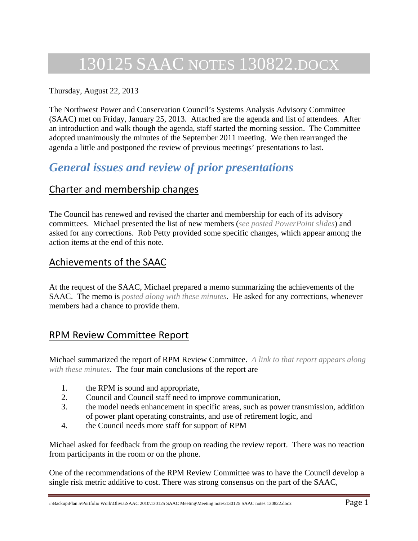# 130125 SAAC NOTES 130822.DOCX

#### Thursday, August 22, 2013

The Northwest Power and Conservation Council's Systems Analysis Advisory Committee (SAAC) met on Friday, January 25, 2013. Attached are the agenda and list of attendees. After an introduction and walk though the agenda, staff started the morning session. The Committee adopted unanimously the minutes of the September 2011 meeting. We then rearranged the agenda a little and postponed the review of previous meetings' presentations to last.

### *General issues and review of prior presentations*

#### Charter and membership changes

The Council has renewed and revised the charter and membership for each of its advisory committees. Michael presented the list of new members (*see posted PowerPoint slides*) and asked for any corrections. Rob Petty provided some specific changes, which appear among the action items at the end of this note.

#### Achievements of the SAAC

At the request of the SAAC, Michael prepared a memo summarizing the achievements of the SAAC. The memo is *posted along with these minutes*. He asked for any corrections, whenever members had a chance to provide them.

### RPM Review Committee Report

Michael summarized the report of RPM Review Committee. *A link to that report appears along with these minutes*. The four main conclusions of the report are

- 1. the RPM is sound and appropriate,
- 2. Council and Council staff need to improve communication,
- 3. the model needs enhancement in specific areas, such as power transmission, addition of power plant operating constraints, and use of retirement logic, and
- 4. the Council needs more staff for support of RPM

Michael asked for feedback from the group on reading the review report. There was no reaction from participants in the room or on the phone.

One of the recommendations of the RPM Review Committee was to have the Council develop a single risk metric additive to cost. There was strong consensus on the part of the SAAC,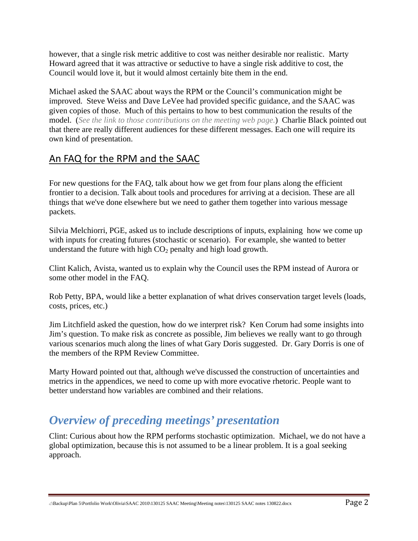however, that a single risk metric additive to cost was neither desirable nor realistic. Marty Howard agreed that it was attractive or seductive to have a single risk additive to cost, the Council would love it, but it would almost certainly bite them in the end.

Michael asked the SAAC about ways the RPM or the Council's communication might be improved. Steve Weiss and Dave LeVee had provided specific guidance, and the SAAC was given copies of those. Much of this pertains to how to best communication the results of the model. (*See the link to those contributions on the meeting web page.*) Charlie Black pointed out that there are really different audiences for these different messages. Each one will require its own kind of presentation.

### An FAQ for the RPM and the SAAC

For new questions for the FAQ, talk about how we get from four plans along the efficient frontier to a decision. Talk about tools and procedures for arriving at a decision. These are all things that we've done elsewhere but we need to gather them together into various message packets.

Silvia Melchiorri, PGE, asked us to include descriptions of inputs, explaining how we come up with inputs for creating futures (stochastic or scenario). For example, she wanted to better understand the future with high  $CO<sub>2</sub>$  penalty and high load growth.

Clint Kalich, Avista, wanted us to explain why the Council uses the RPM instead of Aurora or some other model in the FAQ.

Rob Petty, BPA, would like a better explanation of what drives conservation target levels (loads, costs, prices, etc.)

Jim Litchfield asked the question, how do we interpret risk? Ken Corum had some insights into Jim's question. To make risk as concrete as possible, Jim believes we really want to go through various scenarios much along the lines of what Gary Doris suggested. Dr. Gary Dorris is one of the members of the RPM Review Committee.

Marty Howard pointed out that, although we've discussed the construction of uncertainties and metrics in the appendices, we need to come up with more evocative rhetoric. People want to better understand how variables are combined and their relations.

## *Overview of preceding meetings' presentation*

Clint: Curious about how the RPM performs stochastic optimization. Michael, we do not have a global optimization, because this is not assumed to be a linear problem. It is a goal seeking approach.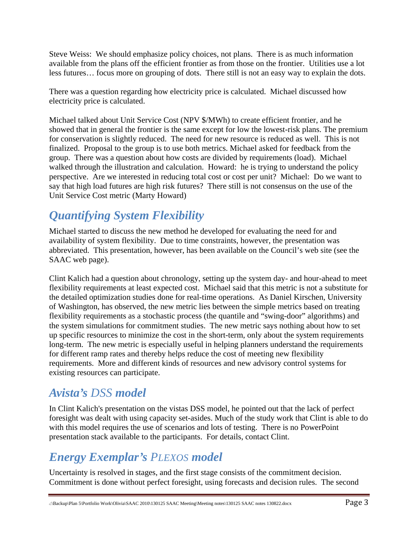Steve Weiss: We should emphasize policy choices, not plans. There is as much information available from the plans off the efficient frontier as from those on the frontier. Utilities use a lot less futures… focus more on grouping of dots. There still is not an easy way to explain the dots.

There was a question regarding how electricity price is calculated. Michael discussed how electricity price is calculated.

Michael talked about Unit Service Cost (NPV \$/MWh) to create efficient frontier, and he showed that in general the frontier is the same except for low the lowest-risk plans. The premium for conservation is slightly reduced. The need for new resource is reduced as well. This is not finalized. Proposal to the group is to use both metrics. Michael asked for feedback from the group. There was a question about how costs are divided by requirements (load). Michael walked through the illustration and calculation. Howard: he is trying to understand the policy perspective. Are we interested in reducing total cost or cost per unit? Michael: Do we want to say that high load futures are high risk futures? There still is not consensus on the use of the Unit Service Cost metric (Marty Howard)

# *Quantifying System Flexibility*

Michael started to discuss the new method he developed for evaluating the need for and availability of system flexibility. Due to time constraints, however, the presentation was abbreviated. This presentation, however, has been available on the Council's web site (see the SAAC web page).

Clint Kalich had a question about chronology, setting up the system day- and hour-ahead to meet flexibility requirements at least expected cost. Michael said that this metric is not a substitute for the detailed optimization studies done for real-time operations. As Daniel Kirschen, University of Washington, has observed, the new metric lies between the simple metrics based on treating flexibility requirements as a stochastic process (the quantile and "swing-door" algorithms) and the system simulations for commitment studies. The new metric says nothing about how to set up specific resources to minimize the cost in the short-term, only about the system requirements long-term. The new metric is especially useful in helping planners understand the requirements for different ramp rates and thereby helps reduce the cost of meeting new flexibility requirements. More and different kinds of resources and new advisory control systems for existing resources can participate.

### *Avista's DSS model*

In Clint Kalich's presentation on the vistas DSS model, he pointed out that the lack of perfect foresight was dealt with using capacity set-asides. Much of the study work that Clint is able to do with this model requires the use of scenarios and lots of testing. There is no PowerPoint presentation stack available to the participants. For details, contact Clint.

## *Energy Exemplar's PLEXOS model*

Uncertainty is resolved in stages, and the first stage consists of the commitment decision. Commitment is done without perfect foresight, using forecasts and decision rules. The second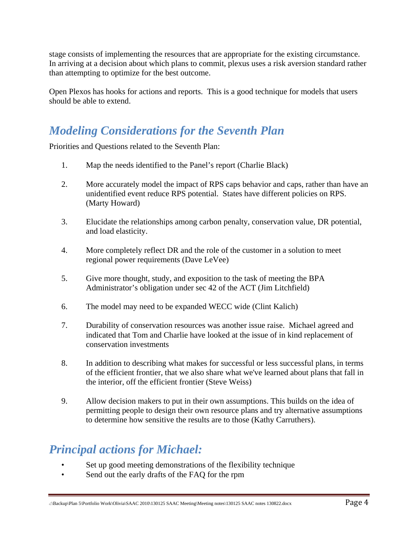stage consists of implementing the resources that are appropriate for the existing circumstance. In arriving at a decision about which plans to commit, plexus uses a risk aversion standard rather than attempting to optimize for the best outcome.

Open Plexos has hooks for actions and reports. This is a good technique for models that users should be able to extend.

## *Modeling Considerations for the Seventh Plan*

Priorities and Questions related to the Seventh Plan:

- 1. Map the needs identified to the Panel's report (Charlie Black)
- 2. More accurately model the impact of RPS caps behavior and caps, rather than have an unidentified event reduce RPS potential. States have different policies on RPS. (Marty Howard)
- 3. Elucidate the relationships among carbon penalty, conservation value, DR potential, and load elasticity.
- 4. More completely reflect DR and the role of the customer in a solution to meet regional power requirements (Dave LeVee)
- 5. Give more thought, study, and exposition to the task of meeting the BPA Administrator's obligation under sec 42 of the ACT (Jim Litchfield)
- 6. The model may need to be expanded WECC wide (Clint Kalich)
- 7. Durability of conservation resources was another issue raise. Michael agreed and indicated that Tom and Charlie have looked at the issue of in kind replacement of conservation investments
- 8. In addition to describing what makes for successful or less successful plans, in terms of the efficient frontier, that we also share what we've learned about plans that fall in the interior, off the efficient frontier (Steve Weiss)
- 9. Allow decision makers to put in their own assumptions. This builds on the idea of permitting people to design their own resource plans and try alternative assumptions to determine how sensitive the results are to those (Kathy Carruthers).

## *Principal actions for Michael:*

- Set up good meeting demonstrations of the flexibility technique
- Send out the early drafts of the FAQ for the rpm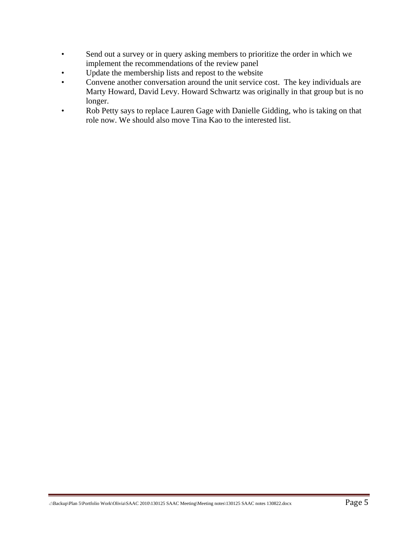- Send out a survey or in query asking members to prioritize the order in which we implement the recommendations of the review panel
- Update the membership lists and repost to the website
- Convene another conversation around the unit service cost. The key individuals are Marty Howard, David Levy. Howard Schwartz was originally in that group but is no longer.
- Rob Petty says to replace Lauren Gage with Danielle Gidding, who is taking on that role now. We should also move Tina Kao to the interested list.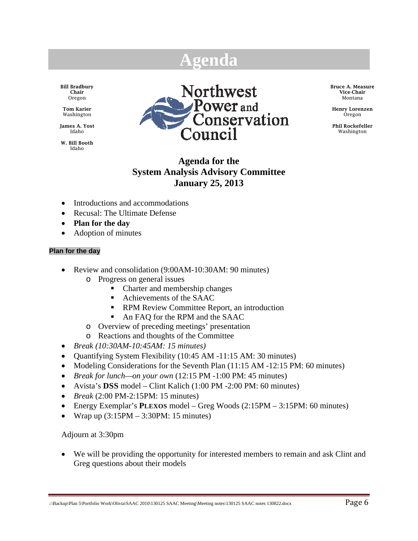# **Agenda**

Bill Bradbury Chair Oregon

Tom Karier Washington

James A. Yost Idaho

W. Bill Booth Idaho



Bruce A. Measure Vice-Chair Montana

Henry Lorenzen Oregon

Phil Rockefeller Washington

#### **Agenda for the System Analysis Advisory Committee January 25, 2013**

- Introductions and accommodations
- Recusal: The Ultimate Defense
- **Plan for the day**
- Adoption of minutes

#### **Plan for the day**

- Review and consolidation (9:00AM-10:30AM: 90 minutes)
	- o Progress on general issues
		- Charter and membership changes
		- Achievements of the SAAC
		- **RPM Review Committee Report, an introduction**
		- An FAQ for the RPM and the SAAC
	- o Overview of preceding meetings' presentation
	- o Reactions and thoughts of the Committee
- *Break (10:30AM-10:45AM: 15 minutes)*
- Quantifying System Flexibility (10:45 AM -11:15 AM: 30 minutes)
- Modeling Considerations for the Seventh Plan (11:15 AM -12:15 PM: 60 minutes)
- *Break for lunch—on your own* (12:15 PM -1:00 PM: 45 minutes)
- Avista's **DSS** model Clint Kalich (1:00 PM -2:00 PM: 60 minutes)
- *Break* (2:00 PM-2:15PM: 15 minutes)
- Energy Exemplar's **PLEXOS** model Greg Woods (2:15PM 3:15PM: 60 minutes)
- Wrap up  $(3:15PM 3:30PM: 15$  minutes)

Adjourn at 3:30pm

 We will be providing the opportunity for interested members to remain and ask Clint and Greg questions about their models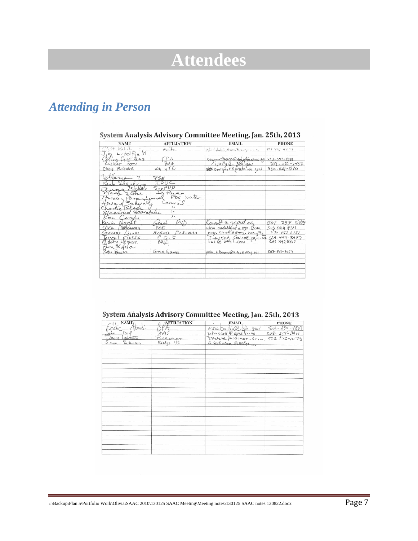# **Attendees**

# *Attending in Person*

| <b>NAME</b>                         | <b>AFFILIATION</b>      | <b>EMAIL</b>                            | <b>PHONE</b>       |
|-------------------------------------|-------------------------|-----------------------------------------|--------------------|
| Chit Kalich                         | Avista                  | clint takin caribrogram                 | 509454572          |
| Jim Litchfield                      |                         |                                         |                    |
| Calley Carri Theus                  | TPU                     | Ccarrathers@eightecoma.org 253-502-8186 |                    |
| ROBERT PETTY                        | BB4                     |                                         | $503 - 230 - 5457$ |
| Chris McGuire                       | WA 4TC                  | of retty @ BPA.gov                      | $360 - 664 - 1310$ |
| Villanon                            | PSE                     |                                         |                    |
| Sleffen                             | <b>IPUC</b>             |                                         |                    |
| mue<br>Mark Elovey                  | $S_{ne}PUD$<br>Id Power |                                         |                    |
| 10-2 den Para                       | PDX Water               |                                         |                    |
| Haward Schwarts                     | ounal                   |                                         |                    |
| Charlie Black<br>Massoud Jourabilie | $\left( \right)$        |                                         |                    |
| Ken Corum                           | $\prime$ t              |                                         |                    |
| Kevin Norat                         | stant                   | Knorett & gepud. over                   | 508 754 5679       |
| Silvia Melchuorn                    | PGE                     | silvia, mekhlori e per Com              | 5034647311         |
| GREEORY $\triangle$ 100 Ds          | $EMSRS \gg 255mRAn$     | greg. Double energy exemples            | 530.6622131        |
| Harty Lougard                       | $P \cdot G \cdot E$     | Two ent. Gassee pan. Com SB3. 464-8979  |                    |
|                                     | BALL                    |                                         |                    |
| Ben Kutala<br>Peter Brooks          | Google Enchange         | Peter F. brooks @4 sace army. bil       | $503 - 808 - 3954$ |
|                                     |                         |                                         |                    |
|                                     |                         |                                         |                    |
|                                     |                         |                                         |                    |
|                                     |                         |                                         |                    |

#### System Analysis Advisory Committee Meeting, Jan. 25th, 2013

|  |  | System Analysis Advisory Committee Meeting, Jan. 25th, 2013 |  |  |  |
|--|--|-------------------------------------------------------------|--|--|--|
|--|--|-------------------------------------------------------------|--|--|--|

| NAME/                      | <b>AFFILIATION</b> | EMAIL, | <b>PHONE</b> |
|----------------------------|--------------------|--------|--------------|
| toad.                      |                    |        |              |
| $50 +$                     |                    |        |              |
| 7057                       | Puncase            |        |              |
| Simon<br><b>Parisinson</b> |                    |        |              |
|                            |                    |        |              |
|                            |                    |        |              |
|                            |                    |        |              |
|                            |                    |        |              |
|                            |                    |        |              |
|                            |                    |        |              |
|                            |                    |        |              |
|                            |                    |        |              |
|                            |                    |        |              |
|                            |                    |        |              |
|                            |                    |        |              |
|                            |                    |        |              |
|                            |                    |        |              |
|                            |                    |        |              |
|                            |                    |        |              |
|                            |                    |        |              |
|                            |                    |        |              |
|                            |                    |        |              |
|                            |                    |        |              |
|                            |                    |        |              |
|                            |                    |        |              |
|                            |                    |        |              |
|                            |                    |        |              |
|                            |                    |        |              |
|                            |                    |        |              |
|                            |                    |        |              |